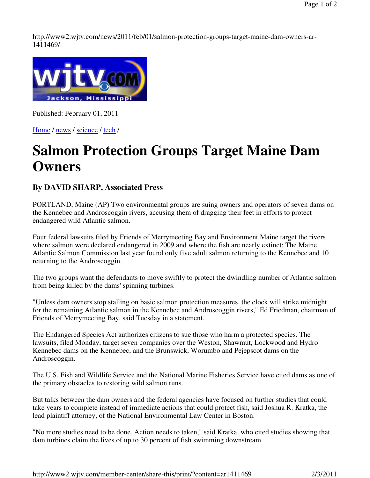http://www2.wjtv.com/news/2011/feb/01/salmon-protection-groups-target-maine-dam-owners-ar-1411469/



Published: February 01, 2011

Home / news / science / tech /

## **Salmon Protection Groups Target Maine Dam Owners**

## **By DAVID SHARP, Associated Press**

PORTLAND, Maine (AP) Two environmental groups are suing owners and operators of seven dams on the Kennebec and Androscoggin rivers, accusing them of dragging their feet in efforts to protect endangered wild Atlantic salmon.

Four federal lawsuits filed by Friends of Merrymeeting Bay and Environment Maine target the rivers where salmon were declared endangered in 2009 and where the fish are nearly extinct: The Maine Atlantic Salmon Commission last year found only five adult salmon returning to the Kennebec and 10 returning to the Androscoggin.

The two groups want the defendants to move swiftly to protect the dwindling number of Atlantic salmon from being killed by the dams' spinning turbines.

"Unless dam owners stop stalling on basic salmon protection measures, the clock will strike midnight for the remaining Atlantic salmon in the Kennebec and Androscoggin rivers," Ed Friedman, chairman of Friends of Merrymeeting Bay, said Tuesday in a statement.

The Endangered Species Act authorizes citizens to sue those who harm a protected species. The lawsuits, filed Monday, target seven companies over the Weston, Shawmut, Lockwood and Hydro Kennebec dams on the Kennebec, and the Brunswick, Worumbo and Pejepscot dams on the Androscoggin.

The U.S. Fish and Wildlife Service and the National Marine Fisheries Service have cited dams as one of the primary obstacles to restoring wild salmon runs.

But talks between the dam owners and the federal agencies have focused on further studies that could take years to complete instead of immediate actions that could protect fish, said Joshua R. Kratka, the lead plaintiff attorney, of the National Environmental Law Center in Boston.

"No more studies need to be done. Action needs to taken," said Kratka, who cited studies showing that dam turbines claim the lives of up to 30 percent of fish swimming downstream.